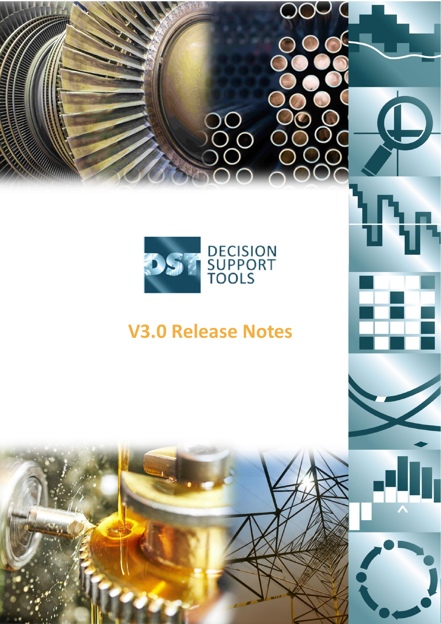

# **V3.0 Release Notes**

9

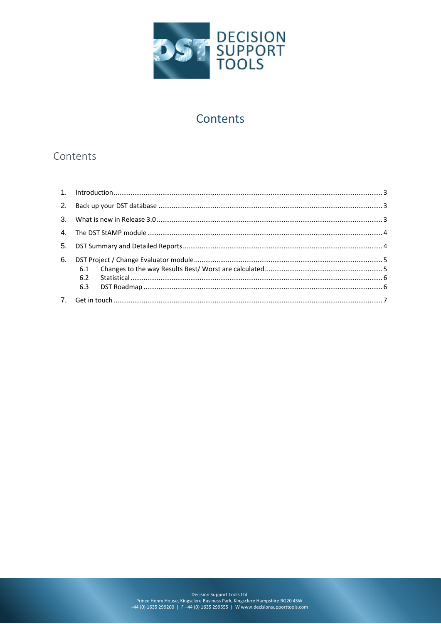

# Contents

# Contents

| 6. |     |  |
|----|-----|--|
|    |     |  |
|    | 6.2 |  |
|    |     |  |
|    |     |  |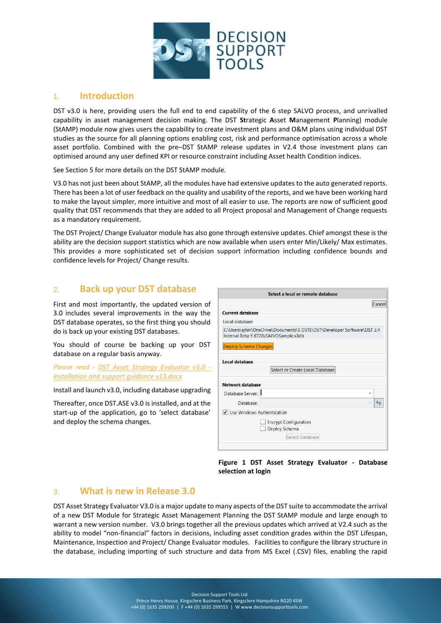

# <span id="page-2-0"></span>1. **Introduction**

DST v3.0 is here, providing users the full end to end capability of the 6 step SALVO process, and unrivalled capability in asset management decision making. The DST **St**rategic **A**sset **M**anagement **P**lanning) module (StAMP) module now gives users the capability to create investment plans and O&M plans using individual DST studies as the source for all planning options enabling cost, risk and performance optimisation across a whole asset portfolio. Combined with the pre–DST StAMP release updates in V2.4 those investment plans can optimised around any user defined KPI or resource constraint including Asset health Condition indices.

See Section 5 for more details on the DST StAMP module.

V3.0 has not just been about StAMP, all the modules have had extensive updates to the auto generated reports. There has been a lot of user feedback on the quality and usability of the reports, and we have been working hard to make the layout simpler, more intuitive and most of all easier to use. The reports are now of sufficient good quality that DST recommends that they are added to all Project proposal and Management of Change requests as a mandatory requirement.

The DST Project/ Change Evaluator module has also gone through extensive updates. Chief amongst these is the ability are the decision support statistics which are now available when users enter Min/Likely/ Max estimates. This provides a more sophisticated set of decision support information including confidence bounds and confidence levels for Project/ Change results.

## <span id="page-2-1"></span>2. **Back up your DST database**

First and most importantly, the updated version of 3.0 includes several improvements in the way the DST database operates, so the first thing you should do is back up your existing DST databases.

You should of course be backing up your DST database on a regular basis anyway.

*Please read - [DST Asset Strategy Evaluator v3.0](https://www.decisionsupporttools.com/client-resources/) [installation and support guidance v13.docx](https://www.decisionsupporttools.com/client-resources/)*

Install and launch v3.0, including database upgrading

Thereafter, once DST.ASE v3.0 is installed, and at the start-up of the application, go to 'select database' and deploy the schema changes.

| Select a local or remote database                                                                                |        |  |  |  |  |  |  |  |  |  |
|------------------------------------------------------------------------------------------------------------------|--------|--|--|--|--|--|--|--|--|--|
|                                                                                                                  | Cancel |  |  |  |  |  |  |  |  |  |
| <b>Current database</b>                                                                                          |        |  |  |  |  |  |  |  |  |  |
| Local database                                                                                                   |        |  |  |  |  |  |  |  |  |  |
| C:\Users\ajhin\OneDrive\Documents\5 DSTL\DST\Developer Software\DST 2.4<br>Internal Beta 5 6728\SALVOSample.s3db |        |  |  |  |  |  |  |  |  |  |
| <b>Deploy Schema Changes</b>                                                                                     |        |  |  |  |  |  |  |  |  |  |
| <b>Local database</b>                                                                                            |        |  |  |  |  |  |  |  |  |  |
| Select or Create Local Database                                                                                  |        |  |  |  |  |  |  |  |  |  |
| <b>Network database</b>                                                                                          |        |  |  |  |  |  |  |  |  |  |
| Database Server: II<br>$\checkmark$                                                                              |        |  |  |  |  |  |  |  |  |  |
| Database:                                                                                                        |        |  |  |  |  |  |  |  |  |  |
| √ Use Windows Authentication                                                                                     |        |  |  |  |  |  |  |  |  |  |
| <b>Encrypt Configuration</b><br>Deploy Schema                                                                    |        |  |  |  |  |  |  |  |  |  |
| <b>Select Database</b>                                                                                           |        |  |  |  |  |  |  |  |  |  |

**Figure 1 DST Asset Strategy Evaluator - Database selection at login**

## <span id="page-2-2"></span>3. **What is new in Release 3.0**

DST Asset Strategy Evaluator V3.0 is a major update to many aspects of the DST suite to accommodate the arrival of a new DST Module for Strategic Asset Management Planning the DST StAMP module and large enough to warrant a new version number. V3.0 brings together all the previous updates which arrived at V2.4 such as the ability to model "non-financial" factors in decisions, including asset condition grades within the DST Lifespan, Maintenance, Inspection and Project/ Change Evaluator modules. Facilities to configure the library structure in the database, including importing of such structure and data from MS Excel (.CSV) files, enabling the rapid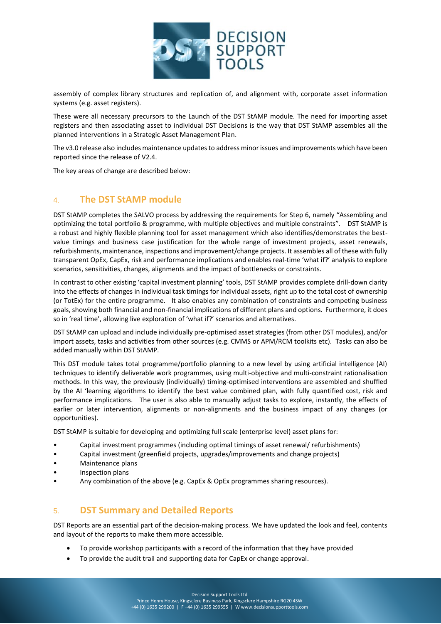

assembly of complex library structures and replication of, and alignment with, corporate asset information systems (e.g. asset registers).

These were all necessary precursors to the Launch of the DST StAMP module. The need for importing asset registers and then associating asset to individual DST Decisions is the way that DST StAMP assembles all the planned interventions in a Strategic Asset Management Plan.

The v3.0 release also includes maintenance updates to address minor issues and improvements which have been reported since the release of V2.4.

The key areas of change are described below:

# <span id="page-3-0"></span>4. **The DST StAMP module**

DST StAMP completes the SALVO process by addressing the requirements for Step 6, namely "Assembling and optimizing the total portfolio & programme, with multiple objectives and multiple constraints". DST StAMP is a robust and highly flexible planning tool for asset management which also identifies/demonstrates the bestvalue timings and business case justification for the whole range of investment projects, asset renewals, refurbishments, maintenance, inspections and improvement/change projects. It assembles all of these with fully transparent OpEx, CapEx, risk and performance implications and enables real-time 'what if?' analysis to explore scenarios, sensitivities, changes, alignments and the impact of bottlenecks or constraints.

In contrast to other existing 'capital investment planning' tools, DST StAMP provides complete drill-down clarity into the effects of changes in individual task timings for individual assets, right up to the total cost of ownership (or TotEx) for the entire programme. It also enables any combination of constraints and competing business goals, showing both financial and non-financial implications of different plans and options. Furthermore, it does so in 'real time', allowing live exploration of 'what if?' scenarios and alternatives.

DST StAMP can upload and include individually pre-optimised asset strategies (from other DST modules), and/or import assets, tasks and activities from other sources (e.g. CMMS or APM/RCM toolkits etc). Tasks can also be added manually within DST StAMP.

This DST module takes total programme/portfolio planning to a new level by using artificial intelligence (AI) techniques to identify deliverable work programmes, using multi-objective and multi-constraint rationalisation methods. In this way, the previously (individually) timing-optimised interventions are assembled and shuffled by the AI 'learning algorithms to identify the best value combined plan, with fully quantified cost, risk and performance implications. The user is also able to manually adjust tasks to explore, instantly, the effects of earlier or later intervention, alignments or non-alignments and the business impact of any changes (or opportunities).

DST StAMP is suitable for developing and optimizing full scale (enterprise level) asset plans for:

- Capital investment programmes (including optimal timings of asset renewal/ refurbishments)
- Capital investment (greenfield projects, upgrades/improvements and change projects)
- Maintenance plans
- Inspection plans
- Any combination of the above (e.g. CapEx & OpEx programmes sharing resources).

# <span id="page-3-1"></span>5. **DST Summary and Detailed Reports**

DST Reports are an essential part of the decision-making process. We have updated the look and feel, contents and layout of the reports to make them more accessible.

- To provide workshop participants with a record of the information that they have provided
- To provide the audit trail and supporting data for CapEx or change approval.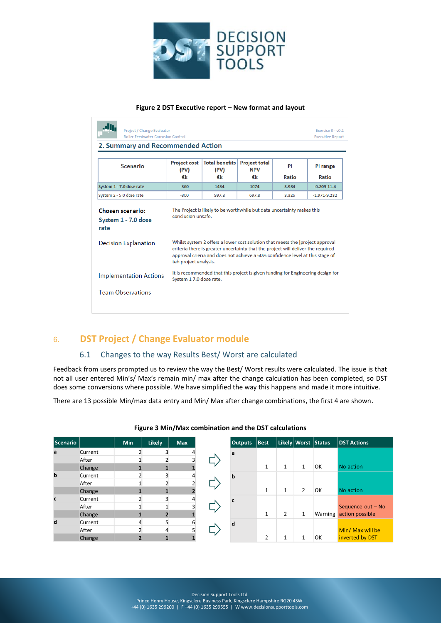

#### **Figure 2 DST Executive report – New format and layout**

| Project / Change Evaluator<br><b>Boiler Feedwater Corrosion Control</b> |                                                                               |                                                                                                                                                                   |                                    |       | Exercise 9 - v0.1<br><b>Executive Report</b> |  |  |  |  |  |
|-------------------------------------------------------------------------|-------------------------------------------------------------------------------|-------------------------------------------------------------------------------------------------------------------------------------------------------------------|------------------------------------|-------|----------------------------------------------|--|--|--|--|--|
| 2. Summary and Recommended Action                                       |                                                                               |                                                                                                                                                                   |                                    |       |                                              |  |  |  |  |  |
| Scenario                                                                | <b>Project cost</b><br>(PV)                                                   | <b>Total benefits</b><br>(PV)                                                                                                                                     | <b>Project total</b><br><b>NPV</b> | PI    | PI range                                     |  |  |  |  |  |
|                                                                         | €k                                                                            | €k                                                                                                                                                                | €k                                 | Ratio | Ratio                                        |  |  |  |  |  |
| System 1 - 7.0 dose rate                                                | $-360$                                                                        | 1434                                                                                                                                                              | 1074                               | 3.984 | $-0.209 - 11.4$                              |  |  |  |  |  |
| System 2 - 5.0 dose rate                                                | $-300$                                                                        | 997.8                                                                                                                                                             | 697.8                              | 3.326 | $-1.971 - 9.232$                             |  |  |  |  |  |
| System 1 - 7.0 dose<br>rate                                             | Whilst system 2 offers a lower cost solution that meets the [project approval |                                                                                                                                                                   |                                    |       |                                              |  |  |  |  |  |
|                                                                         |                                                                               |                                                                                                                                                                   |                                    |       |                                              |  |  |  |  |  |
| <b>Decision Explanation</b>                                             |                                                                               | criteria there is greater uncertainty that the project will deliver the required<br>approval crieria and does not achieve a 60% confidence level at this stage of |                                    |       |                                              |  |  |  |  |  |
|                                                                         | teh project analysis.<br>System 17.0 dose rate.                               | It is recommended that this project is given funding for Engineering design for                                                                                   |                                    |       |                                              |  |  |  |  |  |
| <b>Implementation Actions</b><br><b>Team Observations</b>               |                                                                               |                                                                                                                                                                   |                                    |       |                                              |  |  |  |  |  |

# <span id="page-4-0"></span>6. **DST Project / Change Evaluator module**

## 6.1 Changes to the way Results Best/ Worst are calculated

<span id="page-4-1"></span>Feedback from users prompted us to review the way the Best/ Worst results were calculated. The issue is that not all user entered Min's/ Max's remain min/ max after the change calculation has been completed, so DST does some conversions where possible. We have simplified the way this happens and made it more intuitive.

There are 13 possible Min/max data entry and Min/ Max after change combinations, the first 4 are shown.

| <b>Scenario</b> |         | Min | <b>Likely</b> | <b>Max</b> |  | <b>Outputs</b> | <b>Best</b>    |   |              | Likely Worst Status | <b>DST Actions</b> |
|-----------------|---------|-----|---------------|------------|--|----------------|----------------|---|--------------|---------------------|--------------------|
| a               | Current |     |               |            |  | a              |                |   |              |                     |                    |
|                 | After   |     |               |            |  |                |                |   |              |                     |                    |
|                 | Change  |     |               |            |  |                | 1              |   |              | OK                  | No action          |
| b               | Current |     |               |            |  | b              |                |   |              |                     |                    |
|                 | After   |     |               |            |  |                |                |   |              |                     |                    |
|                 | Change  |     |               |            |  |                | 1              |   | 2            | OK                  | No action          |
| c               | Current |     |               |            |  |                |                |   |              |                     |                    |
|                 | After   |     |               |            |  |                |                |   |              |                     | Sequence out - No  |
|                 | Change  |     |               |            |  |                | 1              | 2 | $\mathbf{1}$ | Warning             | action possible    |
| d               | Current |     |               | 6          |  | d              |                |   |              |                     |                    |
|                 | After   |     |               |            |  |                |                |   |              |                     | Min/ Max will be   |
|                 | Change  |     |               |            |  |                | $\overline{2}$ |   |              | OK                  | inverted by DST    |

#### **Figure 3 Min/Max combination and the DST calculations**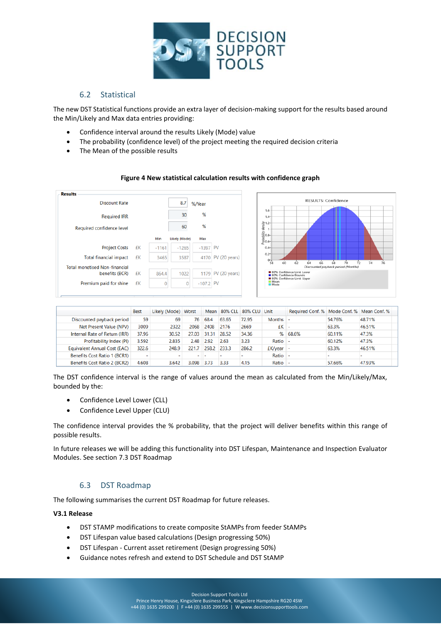

#### 6.2 Statistical

<span id="page-5-0"></span>The new DST Statistical functions provide an extra layer of decision-making support for the results based around the Min/Likely and Max data entries providing:

- Confidence interval around the results Likely (Mode) value
- The probability (confidence level) of the project meeting the required decision criteria
- The Mean of the possible results

#### **Figure 4 New statistical calculation results with confidence graph**



|                               | <b>Best</b> | Likely (Mode) Worst |       |       | Mean 80% CLL | 80% CLU Unit |                  | Required Conf. % Mode Conf. % Mean Conf. % |        |        |
|-------------------------------|-------------|---------------------|-------|-------|--------------|--------------|------------------|--------------------------------------------|--------|--------|
| Discounted payback period     | 59          | 69                  | 76    | 68.4  | 63.65        | 72.95        | Months $\vert$ - |                                            | 54.76% | 48.71% |
| Net Present Value (NPV)       | 3009        | 2322                | 2068  | 2408  | 2176         | 2669         | $EK$ -           |                                            | 63.3%  | 46.51% |
| Internal Rate of Return (IRR) | 37.96       | 30.52               | 27.03 | 31.31 | 28.52        | 34.36        | ℅                | 68.6%                                      | 60.11% | 47.3%  |
| Profitability Index (PI)      | 3.592       | 2.835               | 2.48  | 2.92  | 2.63         | 3.23         | Ratio            |                                            | 60.12% | 47.3%  |
| Equivalent Annual Cost (EAC)  | 322.6       | 248.9               | 221.7 | 258.2 | 233.3        | 286.2        | $EK/year$ -      |                                            | 63.3%  | 46.51% |
| Benefits Cost Ratio 1 (BCR1)  | -           |                     |       |       |              |              | Ratio            |                                            |        |        |
| Benefits Cost Ratio 2 (BCR2)  | 4.608       | 3.642               | 3.098 | 3.73  | 3.33         | 4.15         | Ratio            |                                            | 57.66% | 47.93% |

The DST confidence interval is the range of values around the mean as calculated from the Min/Likely/Max, bounded by the:

- Confidence Level Lower (CLL)
- Confidence Level Upper (CLU)

The confidence interval provides the % probability, that the project will deliver benefits within this range of possible results.

In future releases we will be adding this functionality into DST Lifespan, Maintenance and Inspection Evaluator Modules. See section 7.3 DST Roadmap

## 6.3 DST Roadmap

<span id="page-5-1"></span>The following summarises the current DST Roadmap for future releases.

#### **V3.1 Release**

- DST STAMP modifications to create composite StAMPs from feeder StAMPs
- DST Lifespan value based calculations (Design progressing 50%)
- DST Lifespan Current asset retirement (Design progressing 50%)
- Guidance notes refresh and extend to DST Schedule and DST StAMP

Decision Support Tools Ltd